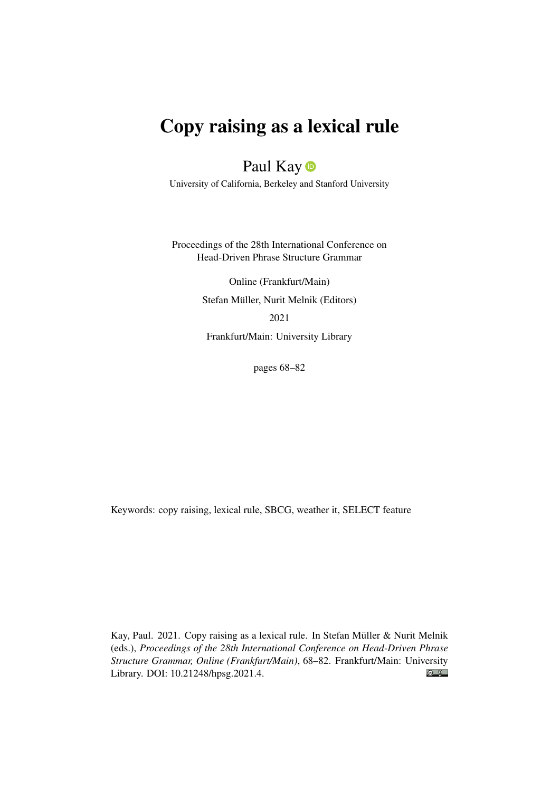# Copy raising as a lexical rule

## Paul Kay<sup>®</sup>

University of California, Berkeley and Stanford University

Proceedings of the 28th International Conference on Head-Driven Phrase Structure Grammar

> Online (Frankfurt/Main) Stefan Müller, Nurit Melnik (Editors) 2021 Frankfurt/Main: University Library

> > pages 68–82

Keywords: copy raising, lexical rule, SBCG, weather it, SELECT feature

Kay, Paul. 2021. Copy raising as a lexical rule. In Stefan Müller & Nurit Melnik (eds.), *Proceedings of the 28th International Conference on Head-Driven Phrase Structure Grammar, Online (Frankfurt/Main)*, 68–82. Frankfurt/Main: University  $\odot$   $\odot$ Library. DOI: [10.21248/hpsg.2021.4.](http://doi.org/10.21248/hpsg.2021.4)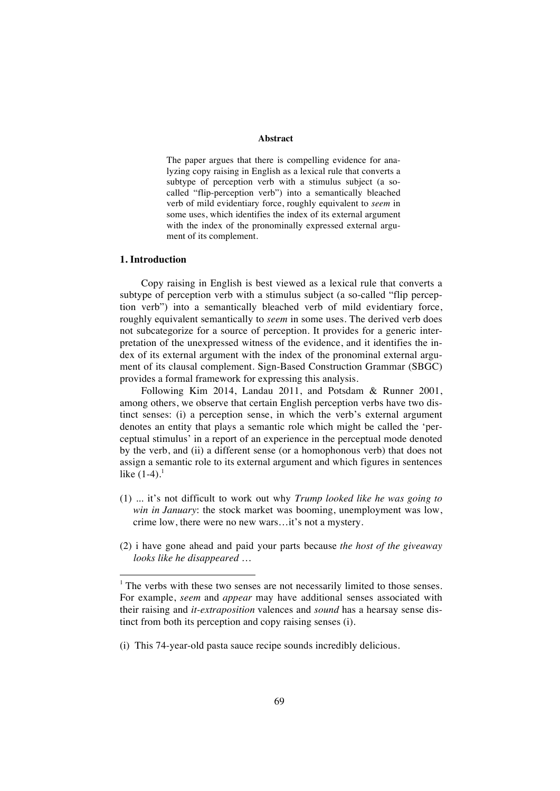#### **Abstract**

The paper argues that there is compelling evidence for analyzing copy raising in English as a lexical rule that converts a subtype of perception verb with a stimulus subject (a socalled "flip-perception verb") into a semantically bleached verb of mild evidentiary force, roughly equivalent to *seem* in some uses, which identifies the index of its external argument with the index of the pronominally expressed external argument of its complement.

#### **1. Introduction**

Copy raising in English is best viewed as a lexical rule that converts a subtype of perception verb with a stimulus subject (a so-called "flip perception verb") into a semantically bleached verb of mild evidentiary force, roughly equivalent semantically to *seem* in some uses. The derived verb does not subcategorize for a source of perception. It provides for a generic interpretation of the unexpressed witness of the evidence, and it identifies the index of its external argument with the index of the pronominal external argument of its clausal complement. Sign-Based Construction Grammar (SBGC) provides a formal framework for expressing this analysis.

Following Kim 2014, Landau 2011, and Potsdam & Runner 2001, among others, we observe that certain English perception verbs have two distinct senses: (i) a perception sense, in which the verb's external argument denotes an entity that plays a semantic role which might be called the 'perceptual stimulus' in a report of an experience in the perceptual mode denoted by the verb, and (ii) a different sense (or a homophonous verb) that does not assign a semantic role to its external argument and which figures in sentences like  $(1-4)$ .<sup>1</sup>

- (1) ... it's not difficult to work out why *Trump looked like he was going to win in January*: the stock market was booming, unemployment was low, crime low, there were no new wars…it's not a mystery.
- (2) i have gone ahead and paid your parts because *the host of the giveaway looks like he disappeared …*

(i) This 74-year-old pasta sauce recipe sounds incredibly delicious.

<sup>&</sup>lt;sup>1</sup> The verbs with these two senses are not necessarily limited to those senses. For example, *seem* and *appear* may have additional senses associated with their raising and *it-extraposition* valences and *sound* has a hearsay sense distinct from both its perception and copy raising senses (i).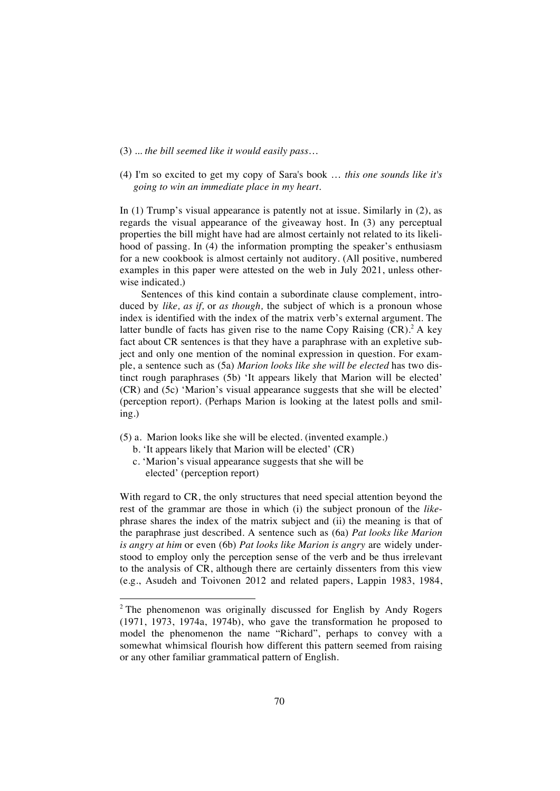- (3) *... the bill seemed like it would easily pass*…
- (4) I'm so excited to get my copy of Sara's book … *this one sounds like it's going to win an immediate place in my heart.*

In (1) Trump's visual appearance is patently not at issue. Similarly in (2), as regards the visual appearance of the giveaway host. In (3) any perceptual properties the bill might have had are almost certainly not related to its likelihood of passing. In (4) the information prompting the speaker's enthusiasm for a new cookbook is almost certainly not auditory. (All positive, numbered examples in this paper were attested on the web in July 2021, unless otherwise indicated.)

Sentences of this kind contain a subordinate clause complement, introduced by *like, as if,* or *as though,* the subject of which is a pronoun whose index is identified with the index of the matrix verb's external argument. The latter bundle of facts has given rise to the name Copy Raising  $(CR)$ .<sup>2</sup> A key fact about CR sentences is that they have a paraphrase with an expletive subject and only one mention of the nominal expression in question. For example, a sentence such as (5a) *Marion looks like she will be elected* has two distinct rough paraphrases (5b) 'It appears likely that Marion will be elected' (CR) and (5c) 'Marion's visual appearance suggests that she will be elected' (perception report). (Perhaps Marion is looking at the latest polls and smiling.)

- (5) a. Marion looks like she will be elected. (invented example.)
	- b. 'It appears likely that Marion will be elected' (CR)
	- c. 'Marion's visual appearance suggests that she will be elected' (perception report)

With regard to CR, the only structures that need special attention beyond the rest of the grammar are those in which (i) the subject pronoun of the *like*phrase shares the index of the matrix subject and (ii) the meaning is that of the paraphrase just described. A sentence such as (6a) *Pat looks like Marion is angry at him* or even (6b) *Pat looks like Marion is angry* are widely understood to employ only the perception sense of the verb and be thus irrelevant to the analysis of CR, although there are certainly dissenters from this view (e.g., Asudeh and Toivonen 2012 and related papers, Lappin 1983, 1984,

<sup>&</sup>lt;sup>2</sup> The phenomenon was originally discussed for English by Andy Rogers (1971, 1973, 1974a, 1974b), who gave the transformation he proposed to model the phenomenon the name "Richard", perhaps to convey with a somewhat whimsical flourish how different this pattern seemed from raising or any other familiar grammatical pattern of English.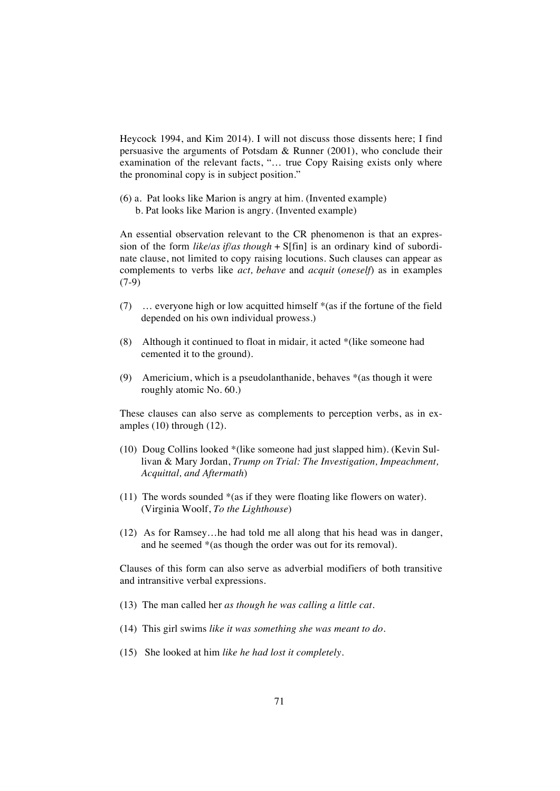Heycock 1994, and Kim 2014). I will not discuss those dissents here; I find persuasive the arguments of Potsdam & Runner (2001), who conclude their examination of the relevant facts, "… true Copy Raising exists only where the pronominal copy is in subject position."

(6) a. Pat looks like Marion is angry at him. (Invented example) **b. Pat looks like Marion is angry. (Invented example)** 

An essential observation relevant to the CR phenomenon is that an expression of the form *like/as if/as though* + S[fin] is an ordinary kind of subordinate clause, not limited to copy raising locutions. Such clauses can appear as complements to verbs like *act, behave* and *acquit* (*oneself*) as in examples (7-9)

- (7) … everyone high or low acquitted himself \*(as if the fortune of the field depended on his own individual prowess.)
- (8)Although it continued to float in midair*,* it acted \*(like someone had cemented it to the ground).
- (9) Americium, which is a pseudolanthanide, behaves \*(as though it were roughly atomic No. 60.)

These clauses can also serve as complements to perception verbs, as in examples (10) through (12).

- (10) Doug Collins looked \*(like someone had just slapped him). (Kevin Sullivan & Mary Jordan, *Trump on Trial: The Investigation, Impeachment, Acquittal, and Aftermath*)
- (11) The words sounded \*(as if they were floating like flowers on water). (Virginia Woolf, *To the Lighthouse*)
- (12) As for Ramsey…he had told me all along that his head was in danger, and he seemed \*(as though the order was out for its removal).

Clauses of this form can also serve as adverbial modifiers of both transitive and intransitive verbal expressions.

- (13) The man called her *as though he was calling a little cat.*
- (14) This girl swims *like it was something she was meant to do.*
- (15) She looked at him *like he had lost it completely.*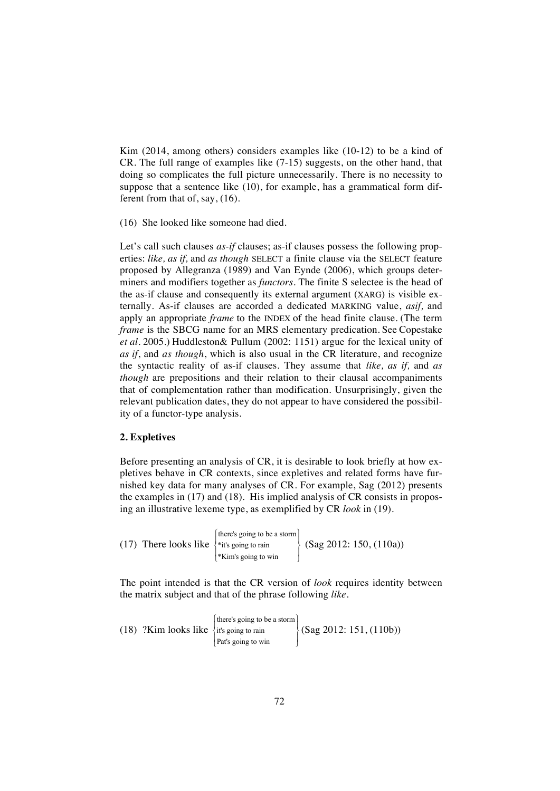Kim (2014, among others) considers examples like (10-12) to be a kind of CR. The full range of examples like (7-15) suggests, on the other hand, that doing so complicates the full picture unnecessarily. There is no necessity to suppose that a sentence like (10), for example, has a grammatical form different from that of, say, (16).

(16) She looked like someone had died.

Let's call such clauses *as-if* clauses; as-if clauses possess the following properties: *like, as if,* and *as though* SELECT a finite clause via the SELECT feature proposed by Allegranza (1989) and Van Eynde (2006), which groups determiners and modifiers together as *functors*. The finite S selectee is the head of the as-if clause and consequently its external argument (XARG) is visible externally. As-if clauses are accorded a dedicated MARKING value, *asif,* and apply an appropriate *frame* to the INDEX of the head finite clause*.* (The term *frame* is the SBCG name for an MRS elementary predication. See Copestake *et al.* 2005.) Huddleston& Pullum (2002: 1151) argue for the lexical unity of *as if*, and *as though*, which is also usual in the CR literature, and recognize the syntactic reality of as-if clauses. They assume that *like, as if,* and *as though* are prepositions and their relation to their clausal accompaniments that of complementation rather than modification. Unsurprisingly, given the relevant publication dates, they do not appear to have considered the possibility of a functor-type analysis.

### **2. Expletives**

Before presenting an analysis of CR, it is desirable to look briefly at how expletives behave in CR contexts, since expletives and related forms have furnished key data for many analyses of CR. For example, Sag (2012) presents the examples in (17) and (18). His implied analysis of CR consists in proposing an illustrative lexeme type, as exemplified by CR *look* in (19).

| *Kim's going to win | (17) There looks like $\frac{1}{2}$ it's going to rain | [there's going to be a storm] | $\left( \text{Sag } 2012: 150, (110a) \right)$ |
|---------------------|--------------------------------------------------------|-------------------------------|------------------------------------------------|
|---------------------|--------------------------------------------------------|-------------------------------|------------------------------------------------|

The point intended is that the CR version of *look* requires identity between the matrix subject and that of the phrase following *like.*

(18) ?Kim looks like  $\frac{1}{x}$  it's going to rain there's going to be a storm ⎧ Pat's going to win ⎩ ⎪ ⎫  $\left\{ \right.$ ⎭  $\bigg\}$  (Sag 2012: 151, (110b))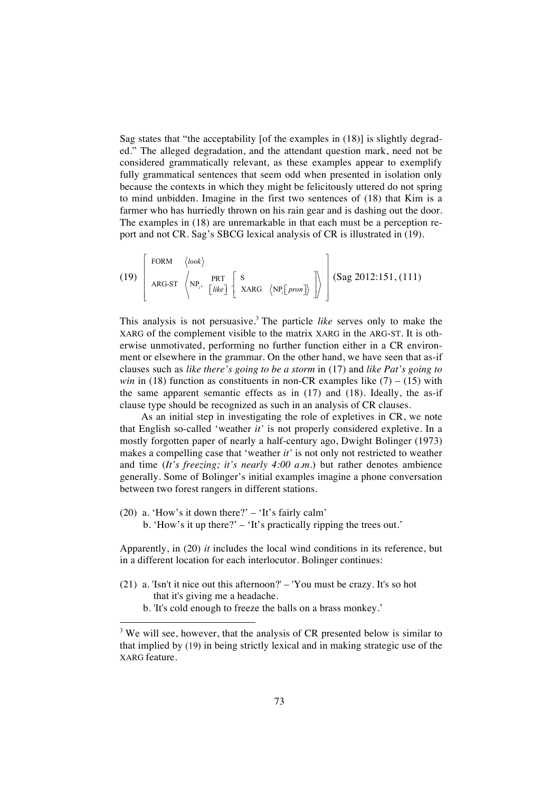Sag states that "the acceptability [of the examples in (18)] is slightly degraded." The alleged degradation, and the attendant question mark, need not be considered grammatically relevant, as these examples appear to exemplify fully grammatical sentences that seem odd when presented in isolation only because the contexts in which they might be felicitously uttered do not spring to mind unbidden. Imagine in the first two sentences of (18) that Kim is a farmer who has hurriedly thrown on his rain gear and is dashing out the door. The examples in (18) are unremarkable in that each must be a perception report and not CR. Sag's SBCG lexical analysis of CR is illustrated in (19).

(19) 
$$
\begin{bmatrix} \text{FORM} & \langle \text{look} \rangle \\ \text{ARG-ST} & \langle \text{NP}_i, \text{PRE} \rangle \end{bmatrix} \begin{bmatrix} \text{S} \\ \text{XARG} & \langle \text{NP}_i[\text{pron}] \rangle \end{bmatrix} \begin{bmatrix} (\text{Sag 2012:151}, (111)) \\ \text{Sag 2012:151} \end{bmatrix}
$$

This analysis is not persuasive. <sup>3</sup> The particle *like* serves only to make the XARG of the complement visible to the matrix XARG in the ARG-ST. It is otherwise unmotivated, performing no further function either in a CR environment or elsewhere in the grammar. On the other hand, we have seen that as-if clauses such as *like there's going to be a storm* in (17) and *like Pat's going to win* in (18) function as constituents in non-CR examples like  $(7) - (15)$  with the same apparent semantic effects as in (17) and (18). Ideally, the as-if clause type should be recognized as such in an analysis of CR clauses.

As an initial step in investigating the role of expletives in CR, we note that English so-called 'weather *it'* is not properly considered expletive. In a mostly forgotten paper of nearly a half-century ago, Dwight Bolinger (1973) makes a compelling case that 'weather *it'* is not only not restricted to weather and time (*It's freezing; it's nearly 4:00 a.m.*) but rather denotes ambience generally. Some of Bolinger's initial examples imagine a phone conversation between two forest rangers in different stations.

(20) a. 'How's it down there?' – 'It's fairly calm' b. 'How's it up there?' – 'It's practically ripping the trees out.'

Apparently, in (20) *it* includes the local wind conditions in its reference, but in a different location for each interlocutor. Bolinger continues:

- (21) a. 'Isn't it nice out this afternoon?' 'You must be crazy. It's so hot that it's giving me a headache.
	- b. 'It's cold enough to freeze the balls on a brass monkey.'

<sup>&</sup>lt;sup>3</sup> We will see, however, that the analysis of CR presented below is similar to that implied by (19) in being strictly lexical and in making strategic use of the XARG feature.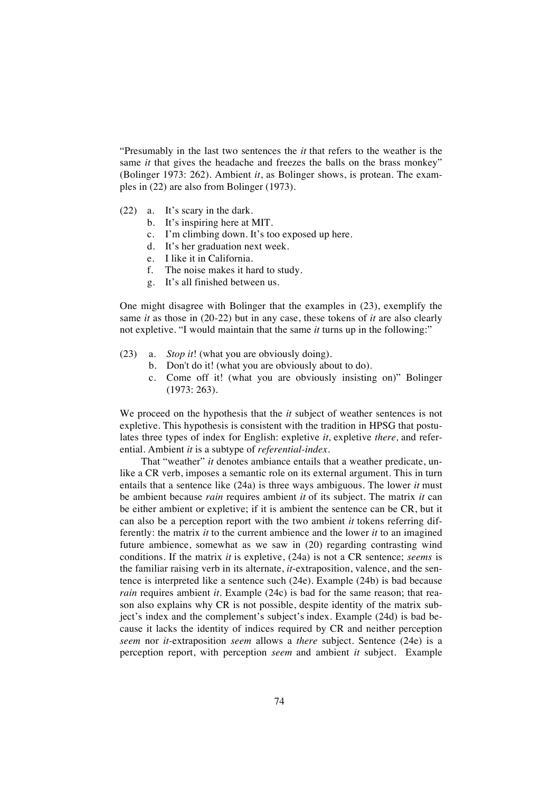"Presumably in the last two sentences the *it* that refers to the weather is the same *it* that gives the headache and freezes the balls on the brass monkey" (Bolinger 1973: 262). Ambient *it*, as Bolinger shows, is protean. The examples in (22) are also from Bolinger (1973).

- (22) a. It's scary in the dark.
	- b. It's inspiring here at MIT.
	- c. I'm climbing down. It's too exposed up here.
	- d. It's her graduation next week.
	- e. I like it in California.
	- f. The noise makes it hard to study.
	- g. It's all finished between us.

One might disagree with Bolinger that the examples in (23), exemplify the same *it* as those in (20-22) but in any case, these tokens of *it* are also clearly not expletive. "I would maintain that the same *it* turns up in the following:"

- (23) a. *Stop it*! (what you are obviously doing).
	- b. Don't do it! (what you are obviously about to do).
	- c. Come off it! (what you are obviously insisting on)" Bolinger (1973: 263).

We proceed on the hypothesis that the *it* subject of weather sentences is not expletive. This hypothesis is consistent with the tradition in HPSG that postulates three types of index for English: expletive *it,* expletive *there,* and referential*.* Ambient *it* is a subtype of *referential-index.*

That "weather" *it* denotes ambiance entails that a weather predicate, unlike a CR verb, imposes a semantic role on its external argument. This in turn entails that a sentence like (24a) is three ways ambiguous. The lower *it* must be ambient because *rain* requires ambient *it* of its subject*.* The matrix *it* can be either ambient or expletive; if it is ambient the sentence can be CR, but it can also be a perception report with the two ambient *it* tokens referring differently: the matrix *it* to the current ambience and the lower *it* to an imagined future ambience, somewhat as we saw in (20) regarding contrasting wind conditions. If the matrix *it* is expletive, (24a) is not a CR sentence; *seems* is the familiar raising verb in its alternate, *it*-extraposition, valence, and the sentence is interpreted like a sentence such (24e). Example (24b) is bad because *rain* requires ambient *it*. Example (24c) is bad for the same reason; that reason also explains why CR is not possible, despite identity of the matrix subject's index and the complement's subject's index. Example (24d) is bad because it lacks the identity of indices required by CR and neither perception *seem* nor *it-*extraposition *seem* allows a *there* subject. Sentence (24e) is a perception report, with perception *seem* and ambient *it* subject. Example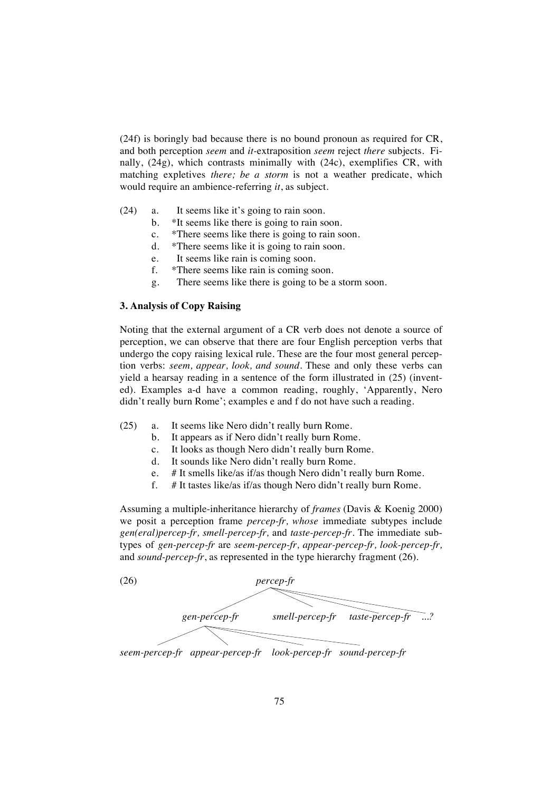(24f) is boringly bad because there is no bound pronoun as required for CR, and both perception *seem* and *it-*extraposition *seem* reject *there* subjects. Finally, (24g), which contrasts minimally with (24c), exemplifies CR, with matching expletives *there; be a storm* is not a weather predicate, which would require an ambience-referring *it*, as subject.

- (24) a. It seems like it's going to rain soon.
	- b. \*It seems like there is going to rain soon.
	- c. \*There seems like there is going to rain soon.
	- d. \*There seems like it is going to rain soon.
	- e. It seems like rain is coming soon.
	- f. \*There seems like rain is coming soon.
	- g. There seems like there is going to be a storm soon.

### **3. Analysis of Copy Raising**

Noting that the external argument of a CR verb does not denote a source of perception, we can observe that there are four English perception verbs that undergo the copy raising lexical rule. These are the four most general perception verbs: *seem, appear, look, and sound.* These and only these verbs can yield a hearsay reading in a sentence of the form illustrated in (25) (invented). Examples a-d have a common reading, roughly, 'Apparently, Nero didn't really burn Rome'; examples e and f do not have such a reading.

- (25) a. It seems like Nero didn't really burn Rome.
	- b. It appears as if Nero didn't really burn Rome.
	- c. It looks as though Nero didn't really burn Rome.
	- d. It sounds like Nero didn't really burn Rome.
	- e. # It smells like/as if/as though Nero didn't really burn Rome.
	- f. # It tastes like/as if/as though Nero didn't really burn Rome.

Assuming a multiple-inheritance hierarchy of *frames* (Davis & Koenig 2000) we posit a perception frame *percep-fr, whose* immediate subtypes include *gen(eral)percep-fr, smell-percep-fr,* and *taste-percep-fr.* The immediate subtypes of *gen-percep-fr* are *seem-percep-fr, appear-percep-fr, look-percep-fr,*  and *sound-percep-fr*, as represented in the type hierarchy fragment (26).



*seem-percep-fr appear-percep-fr look-percep-fr sound-percep-fr*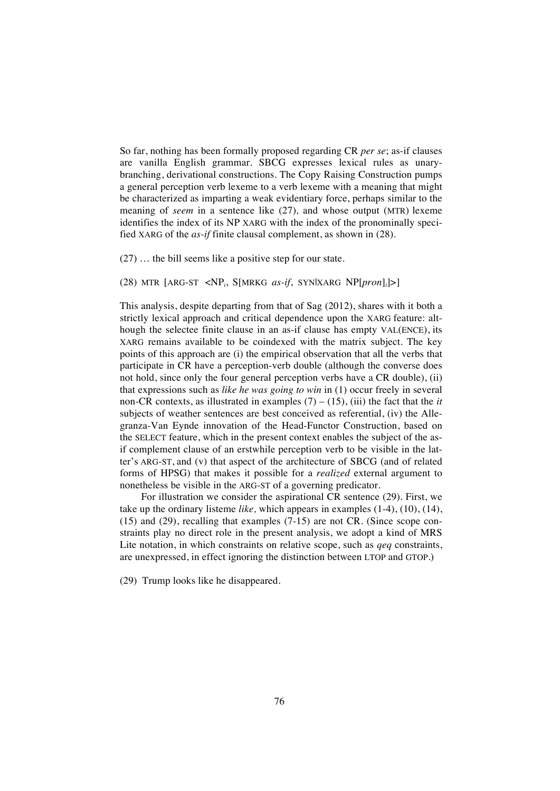So far, nothing has been formally proposed regarding CR *per se*; as-if clauses are vanilla English grammar. SBCG expresses lexical rules as unarybranching, derivational constructions. The Copy Raising Construction pumps a general perception verb lexeme to a verb lexeme with a meaning that might be characterized as imparting a weak evidentiary force, perhaps similar to the meaning of *seem* in a sentence like (27)*,* and whose output (MTR) lexeme identifies the index of its NP XARG with the index of the pronominally specified XARG of the *as-if* finite clausal complement, as shown in (28).

(27) … the bill seems like a positive step for our state.

(28) MTR [ARG-ST <NP*<sup>i</sup>* , S[MRKG *as-if*, SYN|XARG NP[*pron*]*<sup>i</sup>* ]>]

This analysis, despite departing from that of Sag (2012), shares with it both a strictly lexical approach and critical dependence upon the XARG feature: although the selectee finite clause in an as-if clause has empty VAL(ENCE), its XARG remains available to be coindexed with the matrix subject. The key points of this approach are (i) the empirical observation that all the verbs that participate in CR have a perception-verb double (although the converse does not hold, since only the four general perception verbs have a CR double), (ii) that expressions such as *like he was going to win* in (1) occur freely in several non-CR contexts, as illustrated in examples  $(7) - (15)$ , (iii) the fact that the *it* subjects of weather sentences are best conceived as referential, (iv) the Allegranza-Van Eynde innovation of the Head-Functor Construction, based on the SELECT feature, which in the present context enables the subject of the asif complement clause of an erstwhile perception verb to be visible in the latter's ARG-ST, and (v) that aspect of the architecture of SBCG (and of related forms of HPSG) that makes it possible for a *realized* external argument to nonetheless be visible in the ARG-ST of a governing predicator.

For illustration we consider the aspirational CR sentence (29). First, we take up the ordinary listeme *like,* which appears in examples (1-4), (10), (14), (15) and (29), recalling that examples (7-15) are not CR. (Since scope constraints play no direct role in the present analysis, we adopt a kind of MRS Lite notation, in which constraints on relative scope, such as *qeq* constraints, are unexpressed, in effect ignoring the distinction between LTOP and GTOP.)

(29) Trump looks like he disappeared.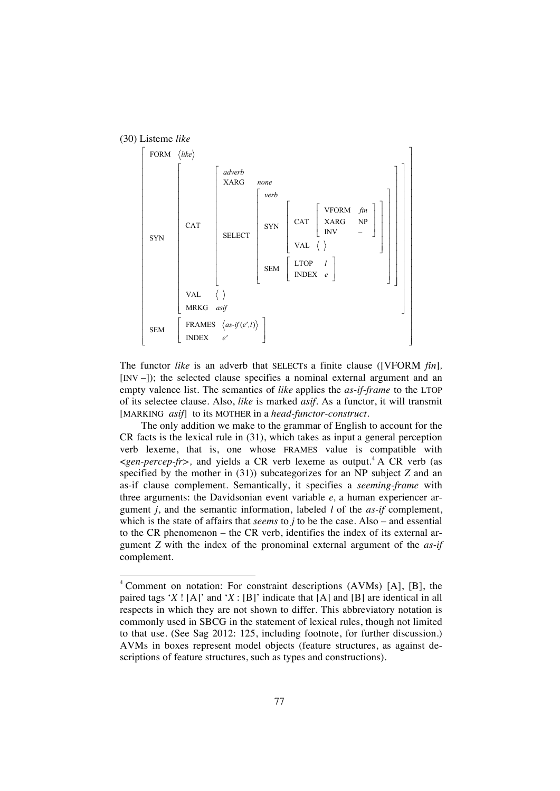

The functor *like* is an adverb that SELECTs a finite clause ([VFORM *fin*]*,*  [INV –]); the selected clause specifies a nominal external argument and an empty valence list. The semantics of *like* applies the *as-if-frame* to the LTOP of its selectee clause. Also, *like* is marked *asif*. As a functor, it will transmit [MARKING *asif*] to its MOTHER in a *head-functor-construct.*

The only addition we make to the grammar of English to account for the CR facts is the lexical rule in (31), which takes as input a general perception verb lexeme, that is, one whose FRAMES value is compatible with <*gen-percep-fr>,* and yields a CR verb lexeme as output. <sup>4</sup> A CR verb (as specified by the mother in (31)) subcategorizes for an NP subject *Z* and an as-if clause complement. Semantically, it specifies a *seeming-frame* with three arguments: the Davidsonian event variable *e,* a human experiencer argument *j*, and the semantic information, labeled *l* of the *as-if* complement, which is the state of affairs that *seems* to *j* to be the case. Also – and essential to the CR phenomenon – the CR verb, identifies the index of its external argument *Z* with the index of the pronominal external argument of the *as-if*  complement.

 <sup>4</sup> Comment on notation: For constraint descriptions (AVMs) [A], [B], the paired tags '*X* ! [A]' and '*X* : [B]' indicate that [A] and [B] are identical in all respects in which they are not shown to differ. This abbreviatory notation is commonly used in SBCG in the statement of lexical rules, though not limited to that use. (See Sag 2012: 125, including footnote, for further discussion.) AVMs in boxes represent model objects (feature structures, as against descriptions of feature structures, such as types and constructions).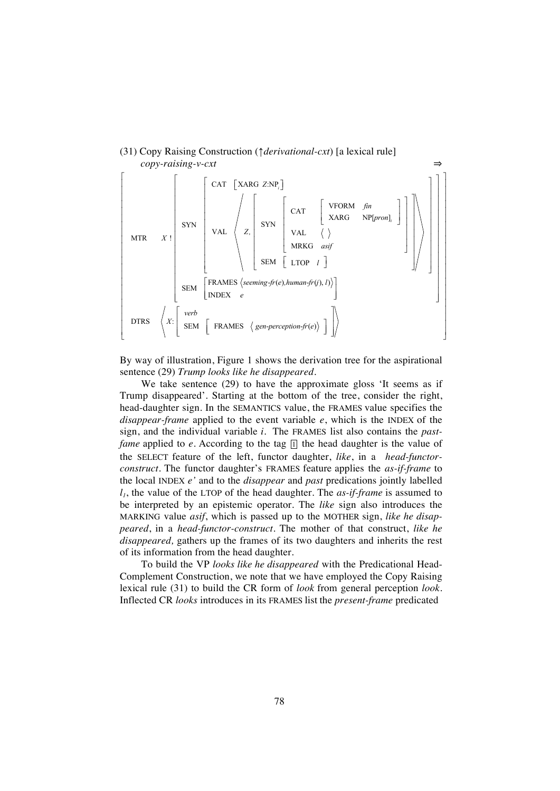

#### (31) Copy Raising Construction (↑*derivational-cxt*) [a lexical rule]  *copy-raising-v-cxt* ⇒

By way of illustration, Figure 1 shows the derivation tree for the aspirational sentence (29) *Trump looks like he disappeared.*

We take sentence (29) to have the approximate gloss 'It seems as if Trump disappeared'. Starting at the bottom of the tree, consider the right, head-daughter sign. In the SEMANTICS value, the FRAMES value specifies the *disappear-frame* applied to the event variable *e*, which is the INDEX of the sign, and the individual variable *i.* The FRAMES list also contains the *pastfame* applied to *e*. According to the tag  $\overline{p}$  the head daughter is the value of the SELECT feature of the left, functor daughter, *like*, in a *head-functorconstruct.* The functor daughter's FRAMES feature applies the *as-if-frame* to the local INDEX *e'* and to the *disappear* and *past* predications jointly labelled *l1*, the value of the LTOP of the head daughter. The *as-if-frame* is assumed to be interpreted by an epistemic operator. The *like* sign also introduces the MARKING value *asif*, which is passed up to the MOTHER sign, *like he disappeared*, in a *head-functor-construct.* The mother of that construct, *like he disappeared,* gathers up the frames of its two daughters and inherits the rest of its information from the head daughter.

To build the VP *looks like he disappeared* with the Predicational Head-Complement Construction, we note that we have employed the Copy Raising lexical rule (31) to build the CR form of *look* from general perception *look*. Inflected CR *looks* introduces in its FRAMES list the *present-frame* predicated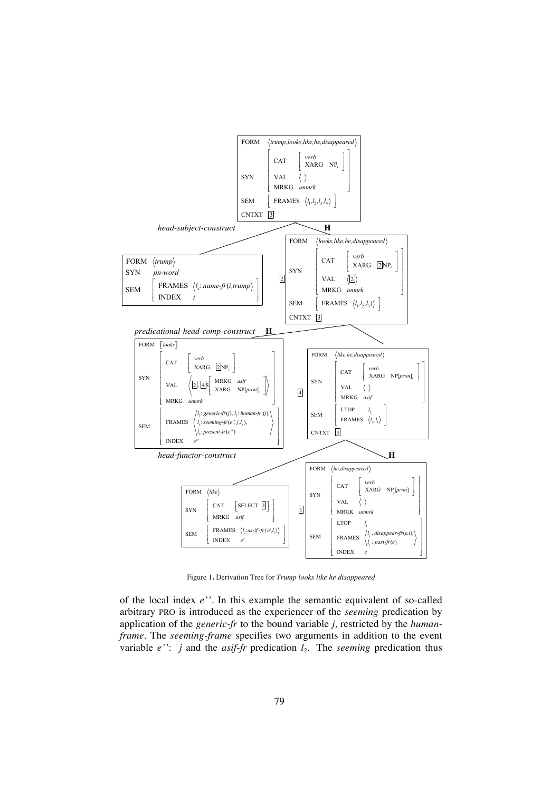

Figure 1**.** Derivation Tree for *Trump looks like he disappeared*

of the local index *e''.* In this example the semantic equivalent of so-called arbitrary PRO is introduced as the experiencer of the *seeming* predication by application of the *generic-fr* to the bound variable *j,* restricted by the *humanframe.* The *seeming-frame* specifies two arguments in addition to the event variable  $e'$ : *j* and the *asif-fr* predication  $l_2$ . The *seeming* predication thus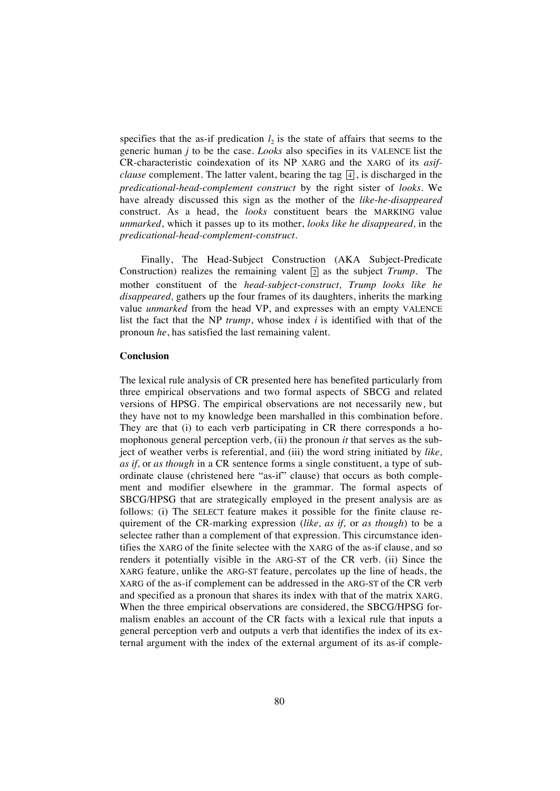specifies that the as-if predication  $l_2$  is the state of affairs that seems to the generic human *j* to be the case. *Looks* also specifies in its VALENCE list the CR-characteristic coindexation of its NP XARG and the XARG of its *asifclause* complement. The latter valent, bearing the tag [4], is discharged in the *predicational*-*head-complement construct* by the right sister of *looks.* We have already discussed this sign as the mother of the *like*-*he-disappeared* construct. As a head, the *looks* constituent bears the MARKING value *unmarked*, which it passes up to its mother, *looks like he disappeared,* in the *predicational-head-complement-construct.*

Finally, The Head-Subject Construction (AKA Subject-Predicate Construction) realizes the remaining valent  $\boxed{2}$  as the subject *Trump*. The mother constituent of the *head-subject-construct, Trump looks like he disappeared,* gathers up the four frames of its daughters, inherits the marking value *unmarked* from the head VP, and expresses with an empty VALENCE list the fact that the NP *trump*, whose index *i* is identified with that of the pronoun *he*, has satisfied the last remaining valent.

#### **Conclusion**

The lexical rule analysis of CR presented here has benefited particularly from three empirical observations and two formal aspects of SBCG and related versions of HPSG. The empirical observations are not necessarily new, but they have not to my knowledge been marshalled in this combination before. They are that (i) to each verb participating in CR there corresponds a homophonous general perception verb, (ii) the pronoun *it* that serves as the subject of weather verbs is referential, and (iii) the word string initiated by *like, as if,* or *as though* in a CR sentence forms a single constituent, a type of subordinate clause (christened here "as-if" clause) that occurs as both complement and modifier elsewhere in the grammar. The formal aspects of SBCG/HPSG that are strategically employed in the present analysis are as follows: (i) The SELECT feature makes it possible for the finite clause requirement of the CR-marking expression (*like, as if,* or *as though*) to be a selectee rather than a complement of that expression. This circumstance identifies the XARG of the finite selectee with the XARG of the as-if clause, and so renders it potentially visible in the ARG-ST of the CR verb. (ii) Since the XARG feature, unlike the ARG-ST feature, percolates up the line of heads, the XARG of the as-if complement can be addressed in the ARG-ST of the CR verb and specified as a pronoun that shares its index with that of the matrix XARG. When the three empirical observations are considered, the SBCG/HPSG formalism enables an account of the CR facts with a lexical rule that inputs a general perception verb and outputs a verb that identifies the index of its external argument with the index of the external argument of its as-if comple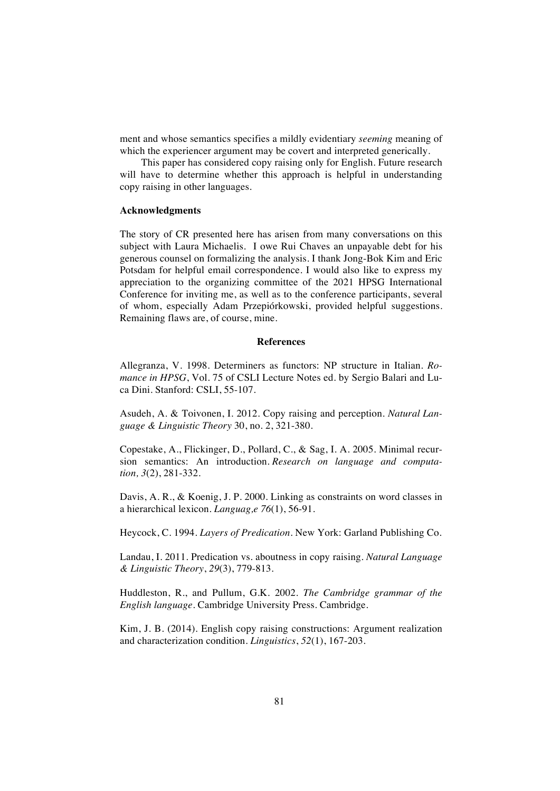ment and whose semantics specifies a mildly evidentiary *seeming* meaning of which the experiencer argument may be covert and interpreted generically.

This paper has considered copy raising only for English. Future research will have to determine whether this approach is helpful in understanding copy raising in other languages.

#### **Acknowledgments**

The story of CR presented here has arisen from many conversations on this subject with Laura Michaelis. I owe Rui Chaves an unpayable debt for his generous counsel on formalizing the analysis. I thank Jong-Bok Kim and Eric Potsdam for helpful email correspondence. I would also like to express my appreciation to the organizing committee of the 2021 HPSG International Conference for inviting me, as well as to the conference participants, several of whom, especially Adam Przepiórkowski, provided helpful suggestions. Remaining flaws are, of course, mine.

#### **References**

Allegranza, V. 1998. Determiners as functors: NP structure in Italian. *Romance in HPSG*, Vol. 75 of CSLI Lecture Notes ed. by Sergio Balari and Luca Dini. Stanford: CSLI, 55-107.

Asudeh, A. & Toivonen, I. 2012. Copy raising and perception. *Natural Language & Linguistic Theory* 30, no. 2, 321-380.

Copestake, A., Flickinger, D., Pollard, C., & Sag, I. A. 2005. Minimal recursion semantics: An introduction. *Research on language and computation, 3*(2), 281-332.

Davis, A. R., & Koenig, J. P. 2000. Linking as constraints on word classes in a hierarchical lexicon. *Languag,e 76*(1), 56-91.

Heycock, C. 1994. *Layers of Predication.* New York: Garland Publishing Co.

Landau, I. 2011. Predication vs. aboutness in copy raising. *Natural Language & Linguistic Theory*, *29*(3), 779-813.

Huddleston, R., and Pullum, G.K. 2002. *The Cambridge grammar of the English language.* Cambridge University Press. Cambridge.

Kim, J. B. (2014). English copy raising constructions: Argument realization and characterization condition. *Linguistics*, *52*(1), 167-203.